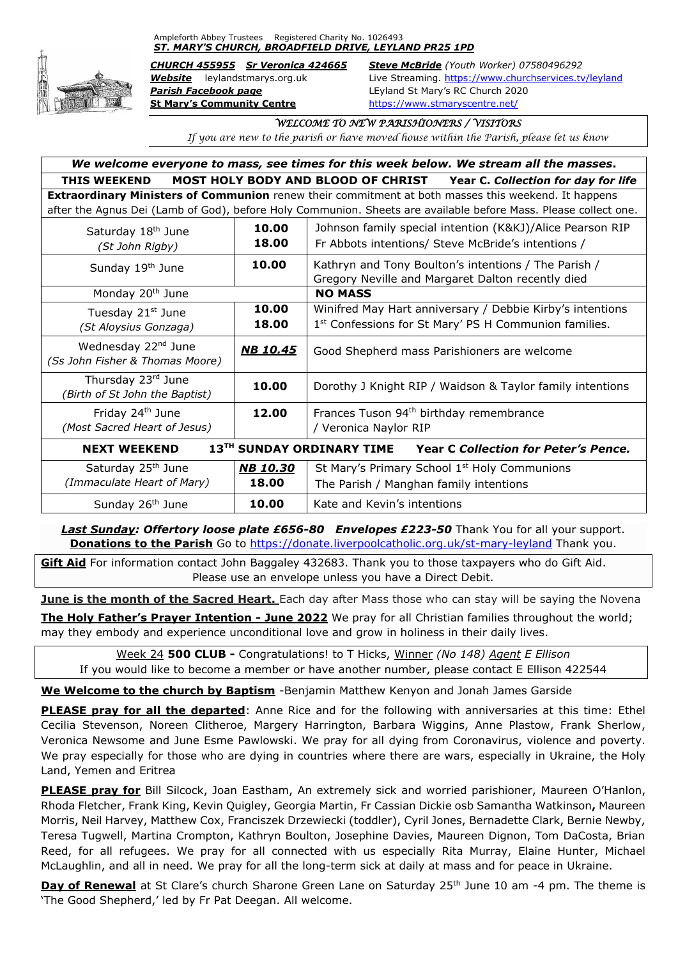## Ampleforth Abbey Trustees Registered Charity No. 1026493 *ST. MARY'S CHURCH, BROADFIELD DRIVE, LEYLAND PR25 1PD*



*Parish Facebook page* LEyland St Mary's RC Church 2020 **St Mary's Community Centre** <https://www.stmaryscentre.net/>

*CHURCH 455955 Sr Veronica 424665 Steve McBride (Youth Worker) 07580496292 Website* leylandstmarys.org.uk Live Streaming.<https://www.churchservices.tv/leyland>

## *WELCOME TO NEW PARISHIONERS / VISITORS*

*If you are new to the parish or have moved house within the Parish, please let us know*

| We welcome everyone to mass, see times for this week below. We stream all the masses.                           |                 |                                                                        |
|-----------------------------------------------------------------------------------------------------------------|-----------------|------------------------------------------------------------------------|
| <b>THIS WEEKEND</b>                                                                                             |                 | MOST HOLY BODY AND BLOOD OF CHRIST Year C. Collection for day for life |
| <b>Extraordinary Ministers of Communion</b> renew their commitment at both masses this weekend. It happens      |                 |                                                                        |
| after the Agnus Dei (Lamb of God), before Holy Communion. Sheets are available before Mass. Please collect one. |                 |                                                                        |
| Saturday 18 <sup>th</sup> June                                                                                  | 10.00           | Johnson family special intention (K&KJ)/Alice Pearson RIP              |
| (St John Rigby)                                                                                                 | 18.00           | Fr Abbots intentions/ Steve McBride's intentions /                     |
| Sunday 19th June                                                                                                | 10.00           | Kathryn and Tony Boulton's intentions / The Parish /                   |
|                                                                                                                 |                 | Gregory Neville and Margaret Dalton recently died                      |
| Monday 20 <sup>th</sup> June                                                                                    |                 | <b>NO MASS</b>                                                         |
| Tuesday 21st June                                                                                               | 10.00           | Winifred May Hart anniversary / Debbie Kirby's intentions              |
| (St Aloysius Gonzaga)                                                                                           | 18.00           | 1st Confessions for St Mary' PS H Communion families.                  |
| Wednesday 22 <sup>nd</sup> June                                                                                 | <b>NB 10.45</b> | Good Shepherd mass Parishioners are welcome                            |
| (Ss John Fisher & Thomas Moore)                                                                                 |                 |                                                                        |
| Thursday 23rd June                                                                                              | 10.00           | Dorothy J Knight RIP / Waidson & Taylor family intentions              |
| (Birth of St John the Baptist)                                                                                  |                 |                                                                        |
| Friday 24 <sup>th</sup> June                                                                                    | 12.00           | Frances Tuson 94 <sup>th</sup> birthday remembrance                    |
| (Most Sacred Heart of Jesus)                                                                                    |                 | / Veronica Naylor RIP                                                  |
| 13TH SUNDAY ORDINARY TIME<br><b>NEXT WEEKEND</b><br><b>Year C Collection for Peter's Pence.</b>                 |                 |                                                                        |
| Saturday 25 <sup>th</sup> June                                                                                  | <b>NB 10.30</b> | St Mary's Primary School 1 <sup>st</sup> Holy Communions               |
| (Immaculate Heart of Mary)                                                                                      | 18.00           | The Parish / Manghan family intentions                                 |
| Sunday 26 <sup>th</sup> June                                                                                    | 10.00           | Kate and Kevin's intentions                                            |

**Last Sunday: Offertory loose plate £656-80 Envelopes £223-50** Thank You for all your support. **Donations to the Parish** Go to<https://donate.liverpoolcatholic.org.uk/st-mary-leyland> Thank you.

**Gift Aid** For information contact John Baggaley 432683. Thank you to those taxpayers who do Gift Aid. Please use an envelope unless you have a Direct Debit.

**June is the month of the Sacred Heart.** Each day after Mass those who can stay will be saying the Novena

**The Holy Father's Prayer Intention - June 2022** We pray for all Christian families throughout the world; may they embody and experience unconditional love and grow in holiness in their daily lives.

Week 24 **500 CLUB -** Congratulations! to T Hicks, Winner *(No 148) Agent E Ellison* If you would like to become a member or have another number, please contact E Ellison 422544

**We Welcome to the church by Baptism** -Benjamin Matthew Kenyon and Jonah James Garside

**PLEASE pray for all the departed**: Anne Rice and for the following with anniversaries at this time: Ethel Cecilia Stevenson, Noreen Clitheroe, Margery Harrington, Barbara Wiggins, Anne Plastow, Frank Sherlow, Veronica Newsome and June Esme Pawlowski. We pray for all dying from Coronavirus, violence and poverty. We pray especially for those who are dying in countries where there are wars, especially in Ukraine, the Holy Land, Yemen and Eritrea

**PLEASE pray for** Bill Silcock, Joan Eastham, An extremely sick and worried parishioner, Maureen O'Hanlon, Rhoda Fletcher, Frank King, Kevin Quigley, Georgia Martin, Fr Cassian Dickie osb Samantha Watkinson**,** Maureen Morris, Neil Harvey, Matthew Cox, Franciszek Drzewiecki (toddler), Cyril Jones, Bernadette Clark, Bernie Newby, Teresa Tugwell, Martina Crompton, Kathryn Boulton, Josephine Davies, Maureen Dignon, Tom DaCosta, Brian Reed, for all refugees. We pray for all connected with us especially Rita Murray, Elaine Hunter, Michael McLaughlin, and all in need. We pray for all the long-term sick at daily at mass and for peace in Ukraine.

**Day of Renewal** at St Clare's church Sharone Green Lane on Saturday 25<sup>th</sup> June 10 am -4 pm. The theme is 'The Good Shepherd,' led by Fr Pat Deegan. All welcome.